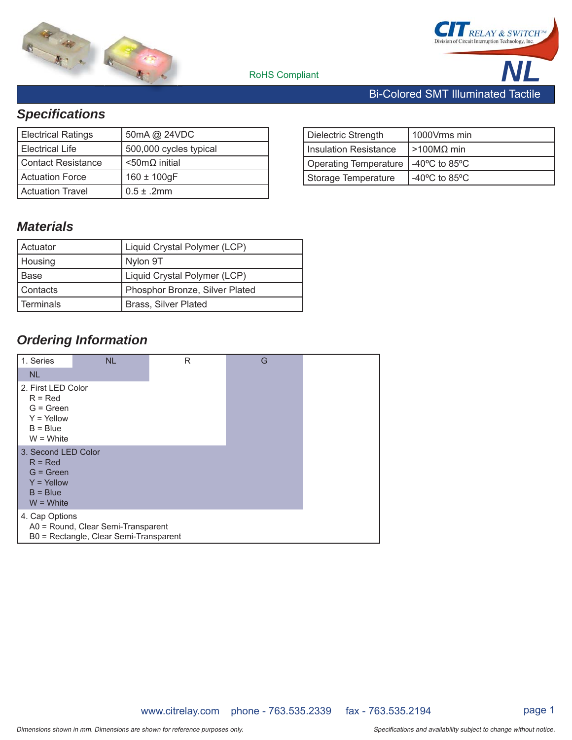



# *Specifi cations*

| <b>Electrical Ratings</b> | 50mA @ 24VDC             |
|---------------------------|--------------------------|
| l Electrical Life         | 500,000 cycles typical   |
| Contact Resistance        | $<$ 50m $\Omega$ initial |
| Actuation Force           | $160 \pm 100$ gF         |
| Actuation Travel          | $0.5 \pm .2$ mm          |

#### Dielectric Strength | 1000Vrms min Insulation Resistance  $\vert$  >100MΩ min Operating Temperature  $-40^{\circ}$ C to 85 $^{\circ}$ C Storage Temperature | -40°C to 85°C

### *Materials*

| Actuator  | Liquid Crystal Polymer (LCP)   |
|-----------|--------------------------------|
| Housing   | Nylon 9T                       |
| l Base    | Liquid Crystal Polymer (LCP)   |
| Contacts  | Phosphor Bronze, Silver Plated |
| Terminals | <b>Brass, Silver Plated</b>    |

### *Ordering Information*

| 1. Series                                                                                    | <b>NL</b>                                                                    | R | G |  |
|----------------------------------------------------------------------------------------------|------------------------------------------------------------------------------|---|---|--|
| <b>NL</b>                                                                                    |                                                                              |   |   |  |
| 2. First LED Color<br>$R = Red$<br>$G = Green$<br>$Y = Y$ ellow<br>$B = Blue$<br>$W = White$ |                                                                              |   |   |  |
| 3. Second LED Color<br>$R = Red$<br>$G = Green$<br>$Y =$ Yellow<br>$B = Blue$<br>$W = White$ |                                                                              |   |   |  |
| 4. Cap Options                                                                               | A0 = Round, Clear Semi-Transparent<br>B0 = Rectangle, Clear Semi-Transparent |   |   |  |